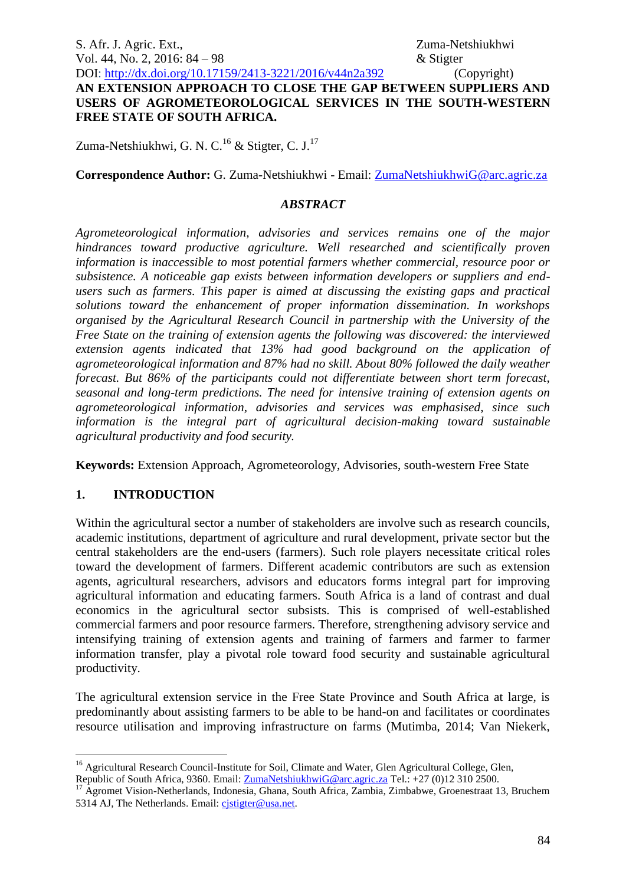S. Afr. J. Agric. Ext., 2008. The S. Afr. J. Agric. Ext., 2008. The S. A. Equation of the S. Afr. J. Agric. Ext., Vol. 44, No. 2, 2016: 84 – 98  $\&$  Stigter

DOI: http://dx.doi.org/10.17159/2413-3221/2016/v44n2a392 (Copyright) **AN EXTENSION APPROACH TO CLOSE THE GAP BETWEEN SUPPLIERS AND USERS OF AGROMETEOROLOGICAL SERVICES IN THE SOUTH-WESTERN FREE STATE OF SOUTH AFRICA.**

Zuma-Netshiukhwi, G. N. C.<sup>16</sup> & Stigter, C. J.<sup>17</sup>

**Correspondence Author:** G. Zuma-Netshiukhwi - Email: [ZumaNetshiukhwiG@arc.agric.za](mailto:ZumaNetshiukhwiG@arc.agric.za)

# *ABSTRACT*

*Agrometeorological information, advisories and services remains one of the major hindrances toward productive agriculture. Well researched and scientifically proven information is inaccessible to most potential farmers whether commercial, resource poor or subsistence. A noticeable gap exists between information developers or suppliers and endusers such as farmers. This paper is aimed at discussing the existing gaps and practical solutions toward the enhancement of proper information dissemination. In workshops organised by the Agricultural Research Council in partnership with the University of the Free State on the training of extension agents the following was discovered: the interviewed extension agents indicated that 13% had good background on the application of agrometeorological information and 87% had no skill. About 80% followed the daily weather forecast. But 86% of the participants could not differentiate between short term forecast, seasonal and long-term predictions. The need for intensive training of extension agents on agrometeorological information, advisories and services was emphasised, since such information is the integral part of agricultural decision-making toward sustainable agricultural productivity and food security.* 

**Keywords:** Extension Approach, Agrometeorology, Advisories, south-western Free State

# **1. INTRODUCTION**

1

Within the agricultural sector a number of stakeholders are involve such as research councils, academic institutions, department of agriculture and rural development, private sector but the central stakeholders are the end-users (farmers). Such role players necessitate critical roles toward the development of farmers. Different academic contributors are such as extension agents, agricultural researchers, advisors and educators forms integral part for improving agricultural information and educating farmers. South Africa is a land of contrast and dual economics in the agricultural sector subsists. This is comprised of well-established commercial farmers and poor resource farmers. Therefore, strengthening advisory service and intensifying training of extension agents and training of farmers and farmer to farmer information transfer, play a pivotal role toward food security and sustainable agricultural productivity.

The agricultural extension service in the Free State Province and South Africa at large, is predominantly about assisting farmers to be able to be hand-on and facilitates or coordinates resource utilisation and improving infrastructure on farms (Mutimba, 2014; Van Niekerk,

<sup>&</sup>lt;sup>16</sup> Agricultural Research Council-Institute for Soil, Climate and Water, Glen Agricultural College, Glen, Republic of South Africa, 9360. Email: [ZumaNetshiukhwiG@arc.agric.za](mailto:ZumaNetshiukhwiG@arc.agric.za) Tel.: +27 (0)12 310 2500.

<sup>&</sup>lt;sup>17</sup> Agromet Vision-Netherlands, Indonesia, Ghana, South Africa, Zambia, Zimbabwe, Groenestraat 13, Bruchem 5314 AJ, The Netherlands. Email: [cjstigter@usa.net.](mailto:cjstigter@usa.net)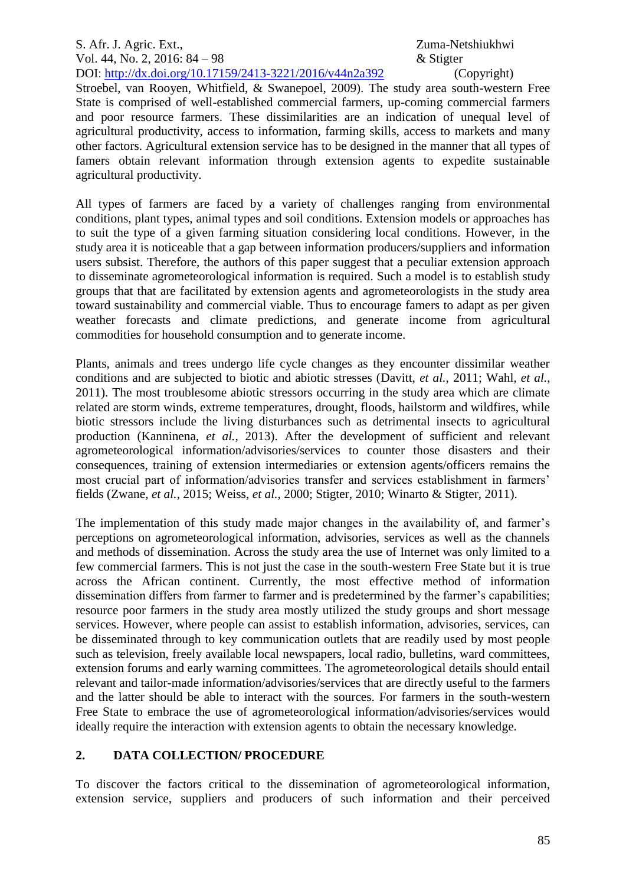## S. Afr. J. Agric. Ext., 2008. The S. Afr. J. Agric. Ext., 2008. The S. A. Equation of the S. Afr. J. Agric. Ext., Vol. 44, No. 2, 2016: 84 – 98  $\&$  Stigter DOI: http://dx.doi.org/10.17159/2413-3221/2016/v44n2a392 (Copyright)

Stroebel, van Rooyen, Whitfield, & Swanepoel, 2009). The study area south-western Free State is comprised of well-established commercial farmers, up-coming commercial farmers and poor resource farmers. These dissimilarities are an indication of unequal level of agricultural productivity, access to information, farming skills, access to markets and many other factors. Agricultural extension service has to be designed in the manner that all types of famers obtain relevant information through extension agents to expedite sustainable agricultural productivity.

All types of farmers are faced by a variety of challenges ranging from environmental conditions, plant types, animal types and soil conditions. Extension models or approaches has to suit the type of a given farming situation considering local conditions. However, in the study area it is noticeable that a gap between information producers/suppliers and information users subsist. Therefore, the authors of this paper suggest that a peculiar extension approach to disseminate agrometeorological information is required. Such a model is to establish study groups that that are facilitated by extension agents and agrometeorologists in the study area toward sustainability and commercial viable. Thus to encourage famers to adapt as per given weather forecasts and climate predictions, and generate income from agricultural commodities for household consumption and to generate income.

Plants, animals and trees undergo life cycle changes as they encounter dissimilar weather conditions and are subjected to biotic and abiotic stresses (Davitt, *et al.*, 2011; Wahl, *et al.*, 2011). The most troublesome abiotic stressors occurring in the study area which are climate related are storm winds, extreme temperatures, drought, floods, hailstorm and wildfires, while biotic stressors include the living disturbances such as detrimental insects to agricultural production (Kanninena, *et al.*, 2013). After the development of sufficient and relevant agrometeorological information/advisories/services to counter those disasters and their consequences, training of extension intermediaries or extension agents/officers remains the most crucial part of information/advisories transfer and services establishment in farmers' fields (Zwane, *et al.*, 2015; Weiss, *et al.*, 2000; Stigter, 2010; Winarto & Stigter, 2011).

The implementation of this study made major changes in the availability of, and farmer's perceptions on agrometeorological information, advisories, services as well as the channels and methods of dissemination. Across the study area the use of Internet was only limited to a few commercial farmers. This is not just the case in the south-western Free State but it is true across the African continent. Currently, the most effective method of information dissemination differs from farmer to farmer and is predetermined by the farmer's capabilities; resource poor farmers in the study area mostly utilized the study groups and short message services. However, where people can assist to establish information, advisories, services, can be disseminated through to key communication outlets that are readily used by most people such as television, freely available local newspapers, local radio, bulletins, ward committees, extension forums and early warning committees. The agrometeorological details should entail relevant and tailor-made information/advisories/services that are directly useful to the farmers and the latter should be able to interact with the sources. For farmers in the south-western Free State to embrace the use of agrometeorological information/advisories/services would ideally require the interaction with extension agents to obtain the necessary knowledge.

# **2. DATA COLLECTION/ PROCEDURE**

To discover the factors critical to the dissemination of agrometeorological information, extension service, suppliers and producers of such information and their perceived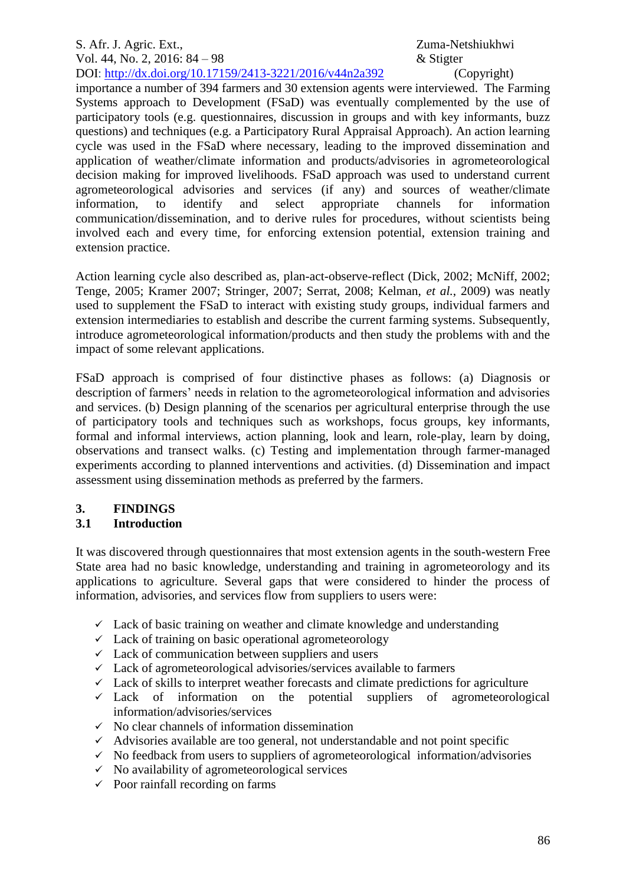importance a number of 394 farmers and 30 extension agents were interviewed. The Farming Systems approach to Development (FSaD) was eventually complemented by the use of participatory tools (e.g. questionnaires, discussion in groups and with key informants, buzz questions) and techniques (e.g. a Participatory Rural Appraisal Approach). An action learning cycle was used in the FSaD where necessary, leading to the improved dissemination and application of weather/climate information and products/advisories in agrometeorological decision making for improved livelihoods. FSaD approach was used to understand current agrometeorological advisories and services (if any) and sources of weather/climate information, to identify and select appropriate channels for information communication/dissemination, and to derive rules for procedures, without scientists being involved each and every time, for enforcing extension potential, extension training and extension practice.

Action learning cycle also described as, plan-act-observe-reflect (Dick, 2002; McNiff, 2002; Tenge, 2005; Kramer 2007; Stringer, 2007; Serrat, 2008; Kelman, *et al.*, 2009) was neatly used to supplement the FSaD to interact with existing study groups, individual farmers and extension intermediaries to establish and describe the current farming systems. Subsequently, introduce agrometeorological information/products and then study the problems with and the impact of some relevant applications.

FSaD approach is comprised of four distinctive phases as follows: (a) Diagnosis or description of farmers' needs in relation to the agrometeorological information and advisories and services. (b) Design planning of the scenarios per agricultural enterprise through the use of participatory tools and techniques such as workshops, focus groups, key informants, formal and informal interviews, action planning, look and learn, role-play, learn by doing, observations and transect walks. (c) Testing and implementation through farmer-managed experiments according to planned interventions and activities. (d) Dissemination and impact assessment using dissemination methods as preferred by the farmers.

# **3. FINDINGS**

# **3.1 Introduction**

It was discovered through questionnaires that most extension agents in the south-western Free State area had no basic knowledge, understanding and training in agrometeorology and its applications to agriculture. Several gaps that were considered to hinder the process of information, advisories, and services flow from suppliers to users were:

- $\checkmark$  Lack of basic training on weather and climate knowledge and understanding
- $\checkmark$  Lack of training on basic operational agrometeorology
- $\checkmark$  Lack of communication between suppliers and users
- $\checkmark$  Lack of agrometeorological advisories/services available to farmers
- $\checkmark$  Lack of skills to interpret weather forecasts and climate predictions for agriculture
- $\checkmark$  Lack of information on the potential suppliers of agrometeorological information/advisories/services
- $\checkmark$  No clear channels of information dissemination
- $\checkmark$  Advisories available are too general, not understandable and not point specific
- $\checkmark$  No feedback from users to suppliers of agrometeorological information/advisories
- $\checkmark$  No availability of agrometeorological services
- $\checkmark$  Poor rainfall recording on farms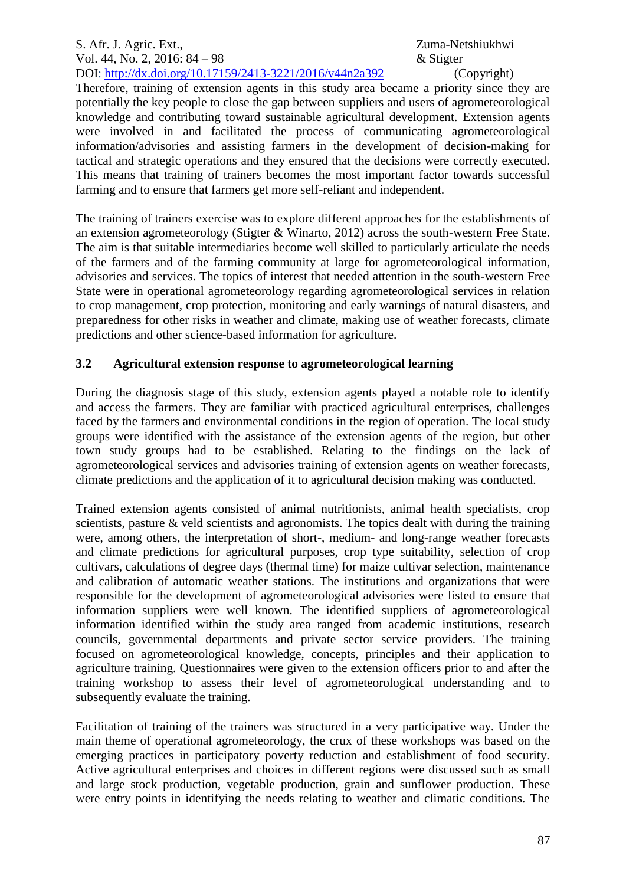Therefore, training of extension agents in this study area became a priority since they are potentially the key people to close the gap between suppliers and users of agrometeorological knowledge and contributing toward sustainable agricultural development. Extension agents were involved in and facilitated the process of communicating agrometeorological information/advisories and assisting farmers in the development of decision-making for tactical and strategic operations and they ensured that the decisions were correctly executed. This means that training of trainers becomes the most important factor towards successful farming and to ensure that farmers get more self-reliant and independent.

The training of trainers exercise was to explore different approaches for the establishments of an extension agrometeorology (Stigter & Winarto, 2012) across the south-western Free State. The aim is that suitable intermediaries become well skilled to particularly articulate the needs of the farmers and of the farming community at large for agrometeorological information, advisories and services. The topics of interest that needed attention in the south-western Free State were in operational agrometeorology regarding agrometeorological services in relation to crop management, crop protection, monitoring and early warnings of natural disasters, and preparedness for other risks in weather and climate, making use of weather forecasts, climate predictions and other science-based information for agriculture.

## **3.2 Agricultural extension response to agrometeorological learning**

During the diagnosis stage of this study, extension agents played a notable role to identify and access the farmers. They are familiar with practiced agricultural enterprises, challenges faced by the farmers and environmental conditions in the region of operation. The local study groups were identified with the assistance of the extension agents of the region, but other town study groups had to be established. Relating to the findings on the lack of agrometeorological services and advisories training of extension agents on weather forecasts, climate predictions and the application of it to agricultural decision making was conducted.

Trained extension agents consisted of animal nutritionists, animal health specialists, crop scientists, pasture & veld scientists and agronomists. The topics dealt with during the training were, among others, the interpretation of short-, medium- and long-range weather forecasts and climate predictions for agricultural purposes, crop type suitability, selection of crop cultivars, calculations of degree days (thermal time) for maize cultivar selection, maintenance and calibration of automatic weather stations. The institutions and organizations that were responsible for the development of agrometeorological advisories were listed to ensure that information suppliers were well known. The identified suppliers of agrometeorological information identified within the study area ranged from academic institutions, research councils, governmental departments and private sector service providers. The training focused on agrometeorological knowledge, concepts, principles and their application to agriculture training. Questionnaires were given to the extension officers prior to and after the training workshop to assess their level of agrometeorological understanding and to subsequently evaluate the training.

Facilitation of training of the trainers was structured in a very participative way. Under the main theme of operational agrometeorology, the crux of these workshops was based on the emerging practices in participatory poverty reduction and establishment of food security. Active agricultural enterprises and choices in different regions were discussed such as small and large stock production, vegetable production, grain and sunflower production. These were entry points in identifying the needs relating to weather and climatic conditions. The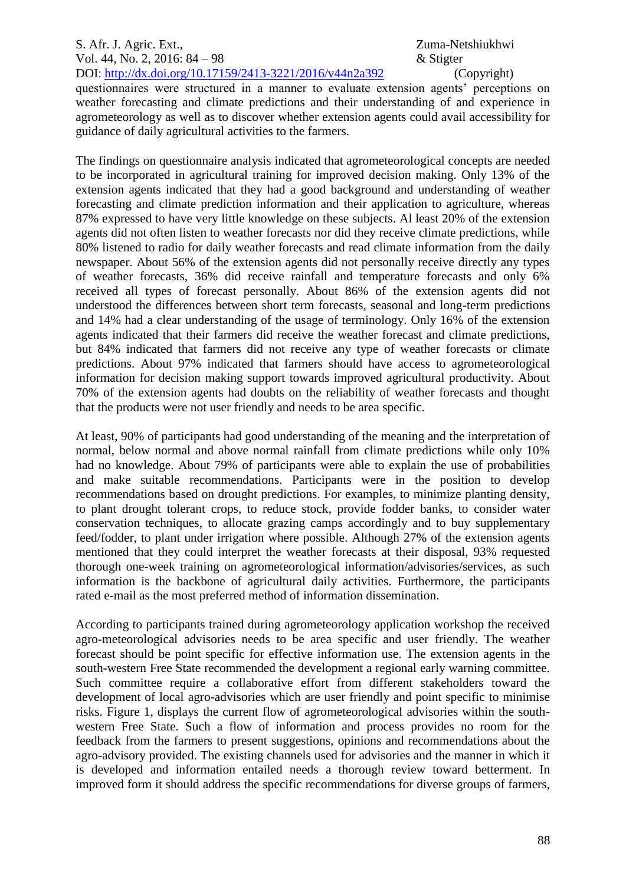## S. Afr. J. Agric. Ext., 2008. The S. Afr. J. Agric. Ext., 2008. The S. A. Equation of the S. Afr. J. Agric. Ext., Vol. 44, No. 2, 2016: 84 – 98  $\&$  Stigter DOI: http://dx.doi.org/10.17159/2413-3221/2016/v44n2a392 (Copyright)

questionnaires were structured in a manner to evaluate extension agents' perceptions on weather forecasting and climate predictions and their understanding of and experience in agrometeorology as well as to discover whether extension agents could avail accessibility for guidance of daily agricultural activities to the farmers.

The findings on questionnaire analysis indicated that agrometeorological concepts are needed to be incorporated in agricultural training for improved decision making. Only 13% of the extension agents indicated that they had a good background and understanding of weather forecasting and climate prediction information and their application to agriculture, whereas 87% expressed to have very little knowledge on these subjects. Al least 20% of the extension agents did not often listen to weather forecasts nor did they receive climate predictions, while 80% listened to radio for daily weather forecasts and read climate information from the daily newspaper. About 56% of the extension agents did not personally receive directly any types of weather forecasts, 36% did receive rainfall and temperature forecasts and only 6% received all types of forecast personally. About 86% of the extension agents did not understood the differences between short term forecasts, seasonal and long-term predictions and 14% had a clear understanding of the usage of terminology. Only 16% of the extension agents indicated that their farmers did receive the weather forecast and climate predictions, but 84% indicated that farmers did not receive any type of weather forecasts or climate predictions. About 97% indicated that farmers should have access to agrometeorological information for decision making support towards improved agricultural productivity. About 70% of the extension agents had doubts on the reliability of weather forecasts and thought that the products were not user friendly and needs to be area specific.

At least, 90% of participants had good understanding of the meaning and the interpretation of normal, below normal and above normal rainfall from climate predictions while only 10% had no knowledge. About 79% of participants were able to explain the use of probabilities and make suitable recommendations. Participants were in the position to develop recommendations based on drought predictions. For examples, to minimize planting density, to plant drought tolerant crops, to reduce stock, provide fodder banks, to consider water conservation techniques, to allocate grazing camps accordingly and to buy supplementary feed/fodder, to plant under irrigation where possible. Although 27% of the extension agents mentioned that they could interpret the weather forecasts at their disposal, 93% requested thorough one-week training on agrometeorological information/advisories/services, as such information is the backbone of agricultural daily activities. Furthermore, the participants rated e-mail as the most preferred method of information dissemination.

According to participants trained during agrometeorology application workshop the received agro-meteorological advisories needs to be area specific and user friendly. The weather forecast should be point specific for effective information use. The extension agents in the south-western Free State recommended the development a regional early warning committee. Such committee require a collaborative effort from different stakeholders toward the development of local agro-advisories which are user friendly and point specific to minimise risks. Figure 1, displays the current flow of agrometeorological advisories within the southwestern Free State. Such a flow of information and process provides no room for the feedback from the farmers to present suggestions, opinions and recommendations about the agro-advisory provided. The existing channels used for advisories and the manner in which it is developed and information entailed needs a thorough review toward betterment. In improved form it should address the specific recommendations for diverse groups of farmers,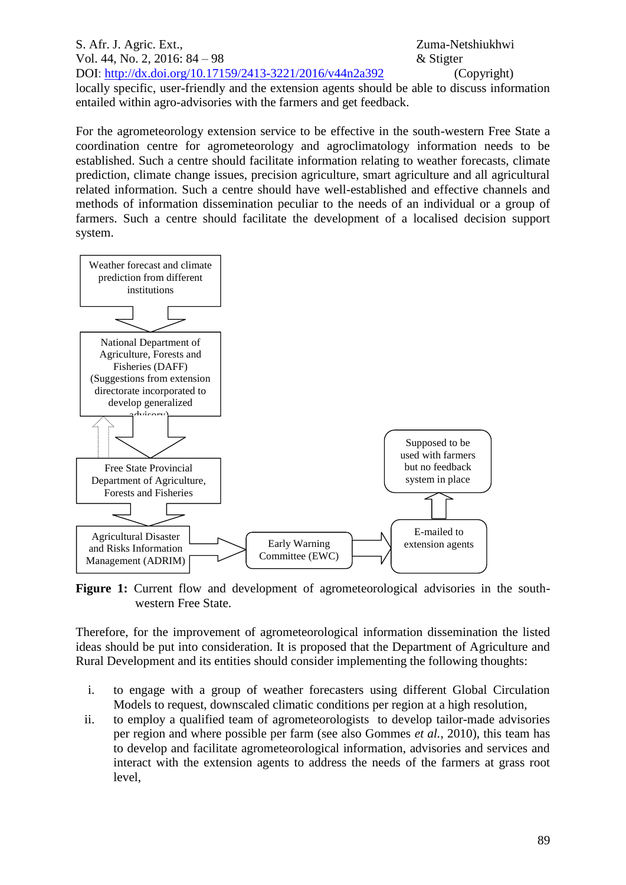S. Afr. J. Agric. Ext., Zuma-Netshiukhwi Vol. 44, No. 2, 2016: 84 – 98  $\&$  Stigter DOI: http://dx.doi.org/10.17159/2413-3221/2016/v44n2a392 (Copyright) locally specific, user-friendly and the extension agents should be able to discuss information entailed within agro-advisories with the farmers and get feedback.

For the agrometeorology extension service to be effective in the south-western Free State a coordination centre for agrometeorology and agroclimatology information needs to be established. Such a centre should facilitate information relating to weather forecasts, climate prediction, climate change issues, precision agriculture, smart agriculture and all agricultural related information. Such a centre should have well-established and effective channels and methods of information dissemination peculiar to the needs of an individual or a group of farmers. Such a centre should facilitate the development of a localised decision support system.



Figure 1: Current flow and development of agrometeorological advisories in the southwestern Free State.

Therefore, for the improvement of agrometeorological information dissemination the listed ideas should be put into consideration. It is proposed that the Department of Agriculture and Rural Development and its entities should consider implementing the following thoughts:

- i. to engage with a group of weather forecasters using different Global Circulation Models to request, downscaled climatic conditions per region at a high resolution,
- ii. to employ a qualified team of agrometeorologists to develop tailor-made advisories per region and where possible per farm (see also Gommes *et al.*, 2010), this team has to develop and facilitate agrometeorological information, advisories and services and interact with the extension agents to address the needs of the farmers at grass root level,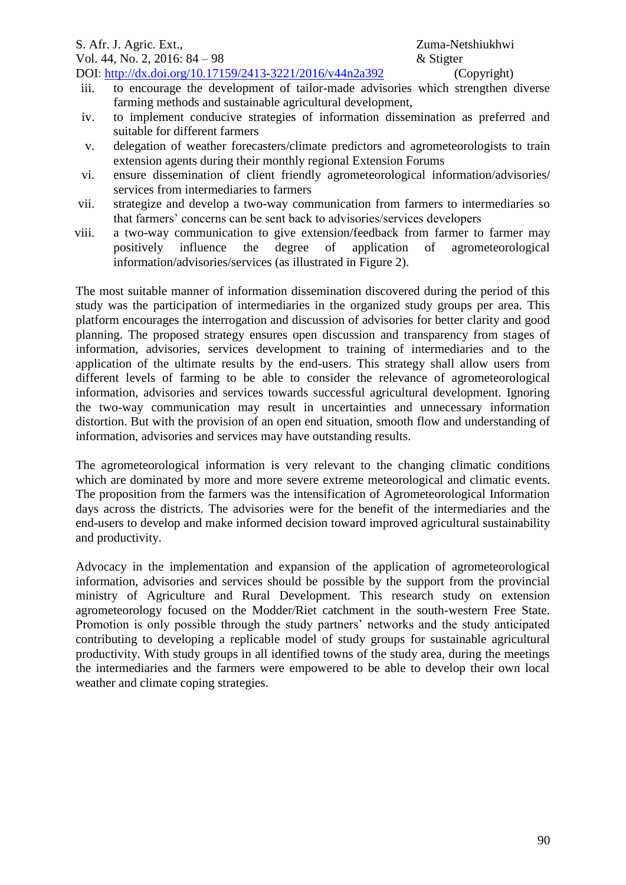iii. to encourage the development of tailor-made advisories which strengthen diverse farming methods and sustainable agricultural development,

- iv. to implement conducive strategies of information dissemination as preferred and suitable for different farmers
- v. delegation of weather forecasters/climate predictors and agrometeorologists to train extension agents during their monthly regional Extension Forums
- vi. ensure dissemination of client friendly agrometeorological information/advisories/ services from intermediaries to farmers
- vii. strategize and develop a two-way communication from farmers to intermediaries so that farmers' concerns can be sent back to advisories/services developers
- viii. a two-way communication to give extension/feedback from farmer to farmer may positively influence the degree of application of agrometeorological information/advisories/services (as illustrated in Figure 2).

The most suitable manner of information dissemination discovered during the period of this study was the participation of intermediaries in the organized study groups per area. This platform encourages the interrogation and discussion of advisories for better clarity and good planning. The proposed strategy ensures open discussion and transparency from stages of information, advisories, services development to training of intermediaries and to the application of the ultimate results by the end-users. This strategy shall allow users from different levels of farming to be able to consider the relevance of agrometeorological information, advisories and services towards successful agricultural development. Ignoring the two-way communication may result in uncertainties and unnecessary information distortion. But with the provision of an open end situation, smooth flow and understanding of information, advisories and services may have outstanding results.

The agrometeorological information is very relevant to the changing climatic conditions which are dominated by more and more severe extreme meteorological and climatic events. The proposition from the farmers was the intensification of Agrometeorological Information days across the districts. The advisories were for the benefit of the intermediaries and the end-users to develop and make informed decision toward improved agricultural sustainability and productivity.

Advocacy in the implementation and expansion of the application of agrometeorological information, advisories and services should be possible by the support from the provincial ministry of Agriculture and Rural Development. This research study on extension agrometeorology focused on the Modder/Riet catchment in the south-western Free State. Promotion is only possible through the study partners' networks and the study anticipated contributing to developing a replicable model of study groups for sustainable agricultural productivity. With study groups in all identified towns of the study area, during the meetings the intermediaries and the farmers were empowered to be able to develop their own local weather and climate coping strategies.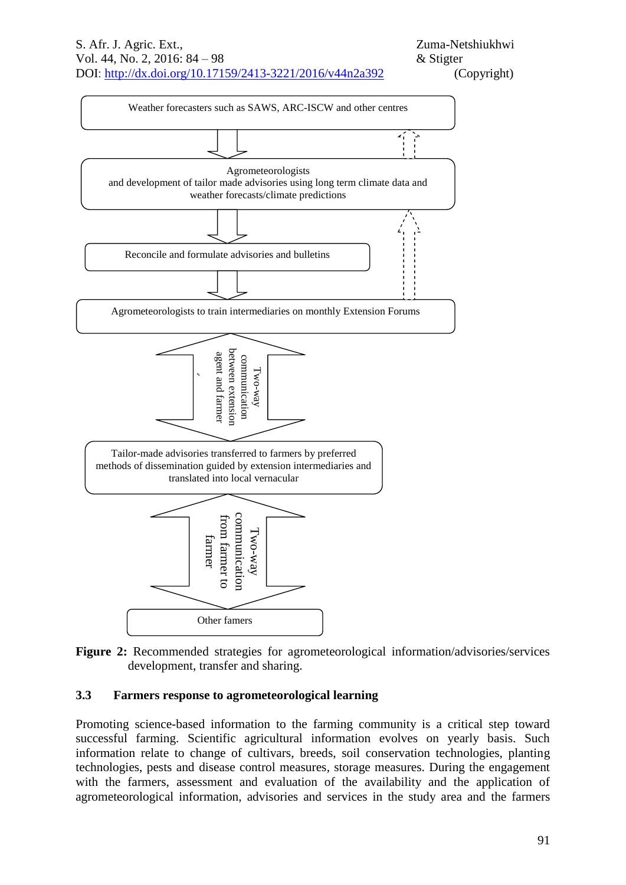



## **3.3 Farmers response to agrometeorological learning**

Promoting science-based information to the farming community is a critical step toward successful farming. Scientific agricultural information evolves on yearly basis. Such information relate to change of cultivars, breeds, soil conservation technologies, planting technologies, pests and disease control measures, storage measures. During the engagement with the farmers, assessment and evaluation of the availability and the application of agrometeorological information, advisories and services in the study area and the farmers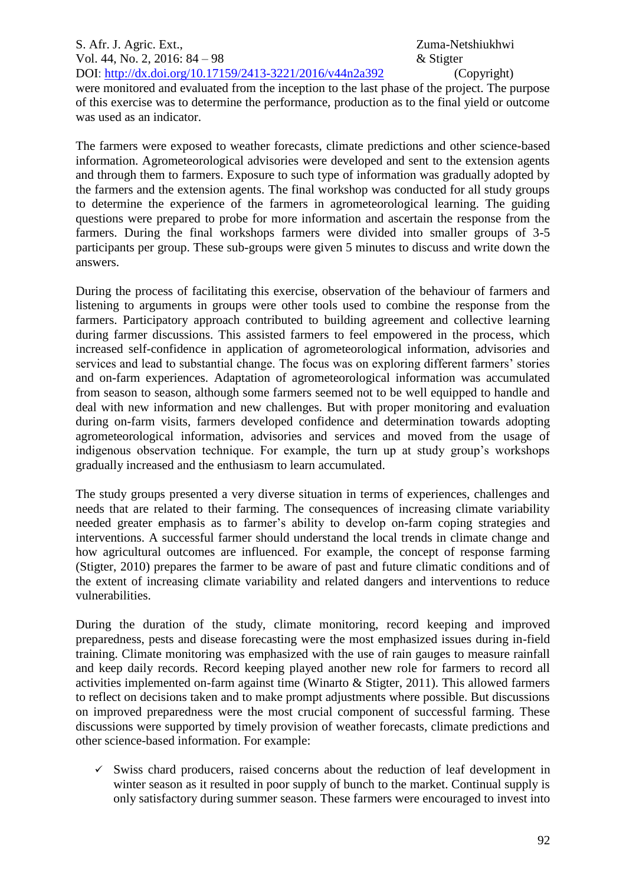## S. Afr. J. Agric. Ext., 2008. The S. Afr. J. Agric. Ext., 2008. The S. A. S. A. S. Agric. Ext., 2008. The S. A. S. Agric. Ext., 2008. The S. Agric. Ext., 2008. The S. Agric. Ext., 2008. The S. Agric. Ext., 2008. The S. Agr Vol. 44, No. 2, 2016: 84 – 98  $\&$  Stigter DOI: http://dx.doi.org/10.17159/2413-3221/2016/v44n2a392 (Copyright)

were monitored and evaluated from the inception to the last phase of the project. The purpose of this exercise was to determine the performance, production as to the final yield or outcome was used as an indicator.

The farmers were exposed to weather forecasts, climate predictions and other science-based information. Agrometeorological advisories were developed and sent to the extension agents and through them to farmers. Exposure to such type of information was gradually adopted by the farmers and the extension agents. The final workshop was conducted for all study groups to determine the experience of the farmers in agrometeorological learning. The guiding questions were prepared to probe for more information and ascertain the response from the farmers. During the final workshops farmers were divided into smaller groups of 3-5 participants per group. These sub-groups were given 5 minutes to discuss and write down the answers.

During the process of facilitating this exercise, observation of the behaviour of farmers and listening to arguments in groups were other tools used to combine the response from the farmers. Participatory approach contributed to building agreement and collective learning during farmer discussions. This assisted farmers to feel empowered in the process, which increased self-confidence in application of agrometeorological information, advisories and services and lead to substantial change. The focus was on exploring different farmers' stories and on-farm experiences. Adaptation of agrometeorological information was accumulated from season to season, although some farmers seemed not to be well equipped to handle and deal with new information and new challenges. But with proper monitoring and evaluation during on-farm visits, farmers developed confidence and determination towards adopting agrometeorological information, advisories and services and moved from the usage of indigenous observation technique. For example, the turn up at study group's workshops gradually increased and the enthusiasm to learn accumulated.

The study groups presented a very diverse situation in terms of experiences, challenges and needs that are related to their farming. The consequences of increasing climate variability needed greater emphasis as to farmer's ability to develop on-farm coping strategies and interventions. A successful farmer should understand the local trends in climate change and how agricultural outcomes are influenced. For example, the concept of response farming (Stigter, 2010) prepares the farmer to be aware of past and future climatic conditions and of the extent of increasing climate variability and related dangers and interventions to reduce vulnerabilities.

During the duration of the study, climate monitoring, record keeping and improved preparedness, pests and disease forecasting were the most emphasized issues during in-field training. Climate monitoring was emphasized with the use of rain gauges to measure rainfall and keep daily records. Record keeping played another new role for farmers to record all activities implemented on-farm against time (Winarto & Stigter, 2011). This allowed farmers to reflect on decisions taken and to make prompt adjustments where possible. But discussions on improved preparedness were the most crucial component of successful farming. These discussions were supported by timely provision of weather forecasts, climate predictions and other science-based information. For example:

 $\checkmark$  Swiss chard producers, raised concerns about the reduction of leaf development in winter season as it resulted in poor supply of bunch to the market. Continual supply is only satisfactory during summer season. These farmers were encouraged to invest into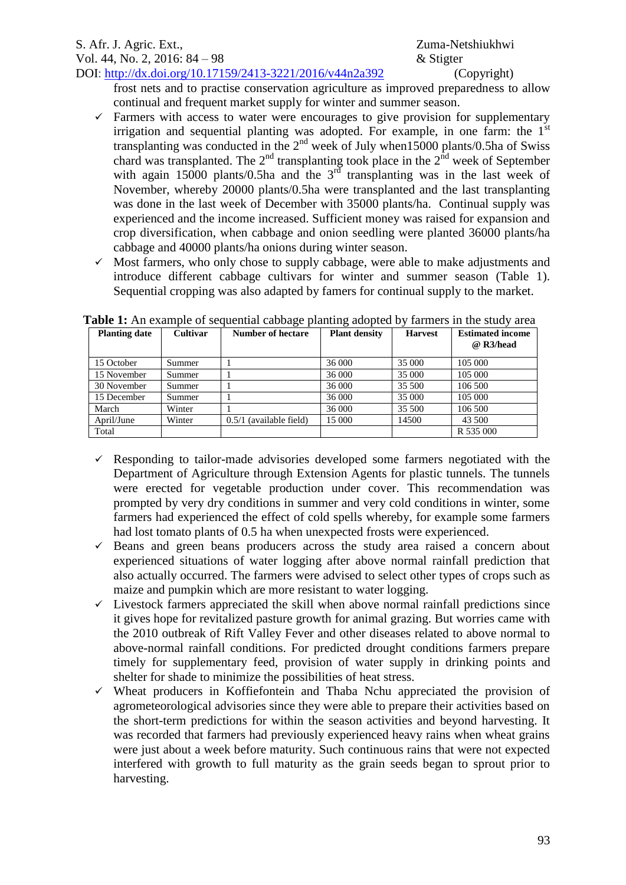frost nets and to practise conservation agriculture as improved preparedness to allow continual and frequent market supply for winter and summer season.

- $\checkmark$  Farmers with access to water were encourages to give provision for supplementary irrigation and sequential planting was adopted. For example, in one farm: the  $1<sup>st</sup>$ transplanting was conducted in the  $2<sup>nd</sup>$  week of July when15000 plants/0.5ha of Swiss chard was transplanted. The  $2^{nd}$  transplanting took place in the  $2^{nd}$  week of September with again 15000 plants/0.5ha and the  $3<sup>rd</sup>$  transplanting was in the last week of November, whereby 20000 plants/0.5ha were transplanted and the last transplanting was done in the last week of December with 35000 plants/ha. Continual supply was experienced and the income increased. Sufficient money was raised for expansion and crop diversification, when cabbage and onion seedling were planted 36000 plants/ha cabbage and 40000 plants/ha onions during winter season.
- $\checkmark$  Most farmers, who only chose to supply cabbage, were able to make adjustments and introduce different cabbage cultivars for winter and summer season (Table 1). Sequential cropping was also adapted by famers for continual supply to the market.

| <b>Planting date</b> | <b>Cultivar</b> | <b>Number of hectare</b>  | <b>Plant density</b> | <b>Harvest</b> | <b>Estimated income</b><br>@ R3/head |
|----------------------|-----------------|---------------------------|----------------------|----------------|--------------------------------------|
| 15 October           | Summer          |                           | 36 000               | 35 000         | 105 000                              |
| 15 November          | Summer          |                           | 36 000               | 35 000         | 105 000                              |
| 30 November          | Summer          |                           | 36 000               | 35 500         | 106 500                              |
| 15 December          | Summer          |                           | 36 000               | 35 000         | 105 000                              |
| March                | Winter          |                           | 36 000               | 35 500         | 106 500                              |
| April/June           | Winter          | $0.5/1$ (available field) | 15 000               | 14500          | 43 500                               |
| Total                |                 |                           |                      |                | R 535 000                            |

**Table 1:** An example of sequential cabbage planting adopted by farmers in the study area

- $\checkmark$  Responding to tailor-made advisories developed some farmers negotiated with the Department of Agriculture through Extension Agents for plastic tunnels. The tunnels were erected for vegetable production under cover. This recommendation was prompted by very dry conditions in summer and very cold conditions in winter, some farmers had experienced the effect of cold spells whereby, for example some farmers had lost tomato plants of 0.5 ha when unexpected frosts were experienced.
- $\checkmark$  Beans and green beans producers across the study area raised a concern about experienced situations of water logging after above normal rainfall prediction that also actually occurred. The farmers were advised to select other types of crops such as maize and pumpkin which are more resistant to water logging.
- $\checkmark$  Livestock farmers appreciated the skill when above normal rainfall predictions since it gives hope for revitalized pasture growth for animal grazing. But worries came with the 2010 outbreak of Rift Valley Fever and other diseases related to above normal to above-normal rainfall conditions. For predicted drought conditions farmers prepare timely for supplementary feed, provision of water supply in drinking points and shelter for shade to minimize the possibilities of heat stress.
- $\checkmark$  Wheat producers in Koffiefontein and Thaba Nchu appreciated the provision of agrometeorological advisories since they were able to prepare their activities based on the short-term predictions for within the season activities and beyond harvesting. It was recorded that farmers had previously experienced heavy rains when wheat grains were just about a week before maturity. Such continuous rains that were not expected interfered with growth to full maturity as the grain seeds began to sprout prior to harvesting.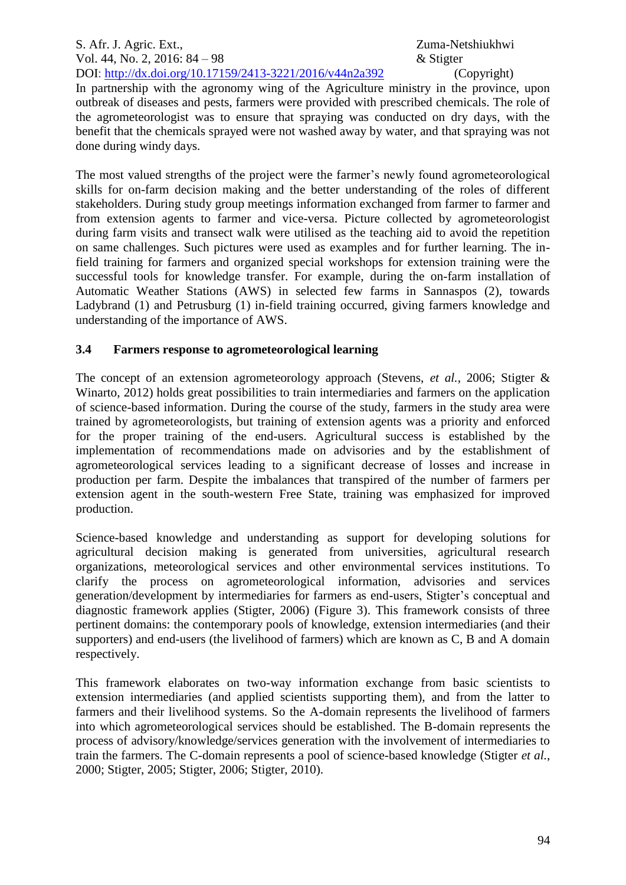In partnership with the agronomy wing of the Agriculture ministry in the province, upon outbreak of diseases and pests, farmers were provided with prescribed chemicals. The role of the agrometeorologist was to ensure that spraying was conducted on dry days, with the benefit that the chemicals sprayed were not washed away by water, and that spraying was not done during windy days.

The most valued strengths of the project were the farmer's newly found agrometeorological skills for on-farm decision making and the better understanding of the roles of different stakeholders. During study group meetings information exchanged from farmer to farmer and from extension agents to farmer and vice-versa. Picture collected by agrometeorologist during farm visits and transect walk were utilised as the teaching aid to avoid the repetition on same challenges. Such pictures were used as examples and for further learning. The infield training for farmers and organized special workshops for extension training were the successful tools for knowledge transfer. For example, during the on-farm installation of Automatic Weather Stations (AWS) in selected few farms in Sannaspos (2), towards Ladybrand (1) and Petrusburg (1) in-field training occurred, giving farmers knowledge and understanding of the importance of AWS.

# **3.4 Farmers response to agrometeorological learning**

The concept of an extension agrometeorology approach (Stevens, *et al.*, 2006; Stigter & Winarto, 2012) holds great possibilities to train intermediaries and farmers on the application of science-based information. During the course of the study, farmers in the study area were trained by agrometeorologists, but training of extension agents was a priority and enforced for the proper training of the end-users. Agricultural success is established by the implementation of recommendations made on advisories and by the establishment of agrometeorological services leading to a significant decrease of losses and increase in production per farm. Despite the imbalances that transpired of the number of farmers per extension agent in the south-western Free State, training was emphasized for improved production.

Science-based knowledge and understanding as support for developing solutions for agricultural decision making is generated from universities, agricultural research organizations, meteorological services and other environmental services institutions. To clarify the process on agrometeorological information, advisories and services generation/development by intermediaries for farmers as end-users, Stigter's conceptual and diagnostic framework applies (Stigter, 2006) (Figure 3). This framework consists of three pertinent domains: the contemporary pools of knowledge, extension intermediaries (and their supporters) and end-users (the livelihood of farmers) which are known as C, B and A domain respectively.

This framework elaborates on two-way information exchange from basic scientists to extension intermediaries (and applied scientists supporting them), and from the latter to farmers and their livelihood systems. So the A-domain represents the livelihood of farmers into which agrometeorological services should be established. The B-domain represents the process of advisory/knowledge/services generation with the involvement of intermediaries to train the farmers. The C-domain represents a pool of science-based knowledge (Stigter *et al.*, 2000; Stigter, 2005; Stigter, 2006; Stigter, 2010).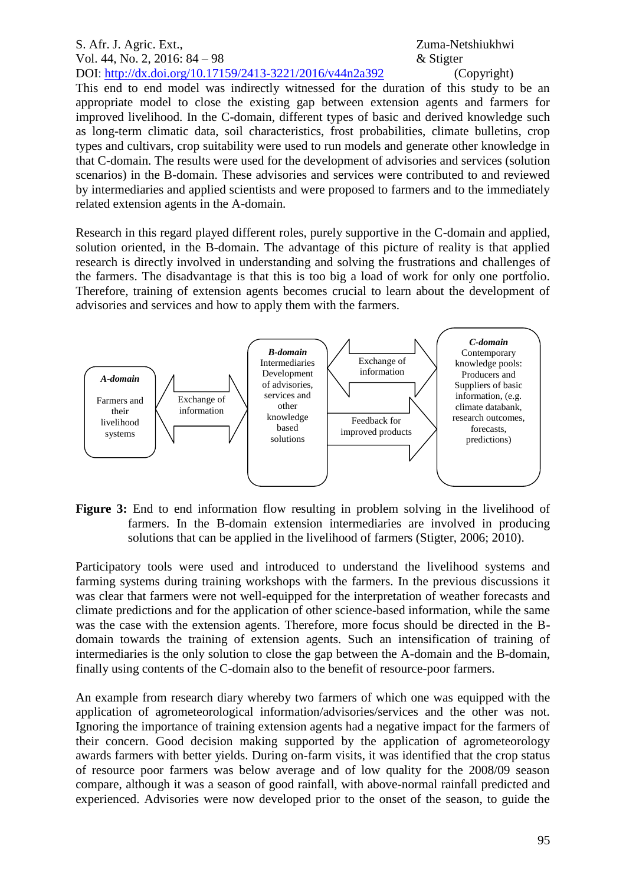This end to end model was indirectly witnessed for the duration of this study to be an appropriate model to close the existing gap between extension agents and farmers for improved livelihood. In the C-domain, different types of basic and derived knowledge such as long-term climatic data, soil characteristics, frost probabilities, climate bulletins, crop types and cultivars, crop suitability were used to run models and generate other knowledge in that C-domain. The results were used for the development of advisories and services (solution scenarios) in the B-domain. These advisories and services were contributed to and reviewed by intermediaries and applied scientists and were proposed to farmers and to the immediately related extension agents in the A-domain.

Research in this regard played different roles, purely supportive in the C-domain and applied, solution oriented, in the B-domain. The advantage of this picture of reality is that applied research is directly involved in understanding and solving the frustrations and challenges of the farmers. The disadvantage is that this is too big a load of work for only one portfolio. Therefore, training of extension agents becomes crucial to learn about the development of advisories and services and how to apply them with the farmers.



Figure 3: End to end information flow resulting in problem solving in the livelihood of farmers. In the B-domain extension intermediaries are involved in producing solutions that can be applied in the livelihood of farmers (Stigter, 2006; 2010).

Participatory tools were used and introduced to understand the livelihood systems and farming systems during training workshops with the farmers. In the previous discussions it was clear that farmers were not well-equipped for the interpretation of weather forecasts and climate predictions and for the application of other science-based information, while the same was the case with the extension agents. Therefore, more focus should be directed in the Bdomain towards the training of extension agents. Such an intensification of training of intermediaries is the only solution to close the gap between the A-domain and the B-domain, finally using contents of the C-domain also to the benefit of resource-poor farmers.

An example from research diary whereby two farmers of which one was equipped with the application of agrometeorological information/advisories/services and the other was not. Ignoring the importance of training extension agents had a negative impact for the farmers of their concern. Good decision making supported by the application of agrometeorology awards farmers with better yields. During on-farm visits, it was identified that the crop status of resource poor farmers was below average and of low quality for the 2008/09 season compare, although it was a season of good rainfall, with above-normal rainfall predicted and experienced. Advisories were now developed prior to the onset of the season, to guide the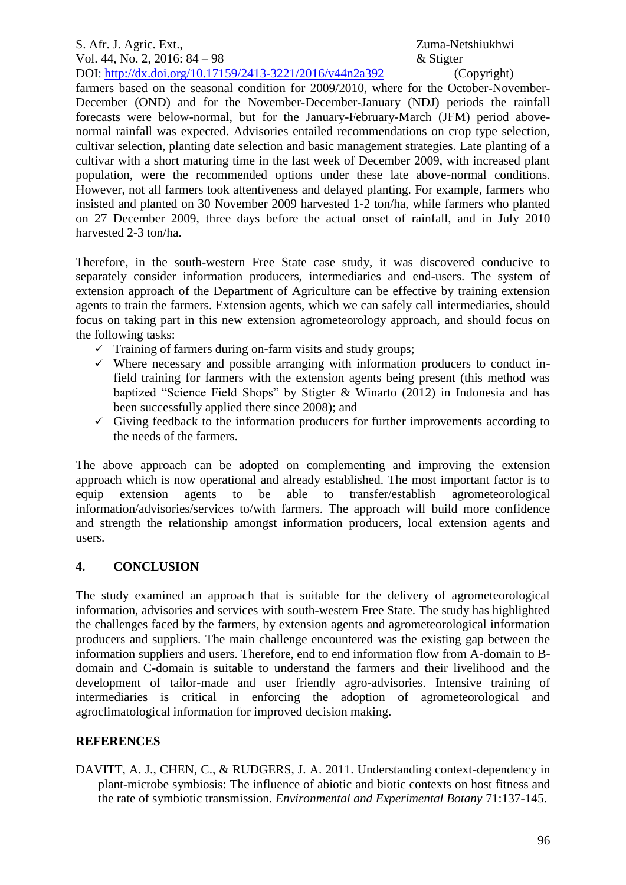farmers based on the seasonal condition for 2009/2010, where for the October-November-December (OND) and for the November-December-January (NDJ) periods the rainfall forecasts were below-normal, but for the January-February-March (JFM) period abovenormal rainfall was expected. Advisories entailed recommendations on crop type selection, cultivar selection, planting date selection and basic management strategies. Late planting of a cultivar with a short maturing time in the last week of December 2009, with increased plant population, were the recommended options under these late above-normal conditions. However, not all farmers took attentiveness and delayed planting. For example, farmers who insisted and planted on 30 November 2009 harvested 1-2 ton/ha, while farmers who planted on 27 December 2009, three days before the actual onset of rainfall, and in July 2010 harvested 2-3 ton/ha.

Therefore, in the south-western Free State case study, it was discovered conducive to separately consider information producers, intermediaries and end-users. The system of extension approach of the Department of Agriculture can be effective by training extension agents to train the farmers. Extension agents, which we can safely call intermediaries, should focus on taking part in this new extension agrometeorology approach, and should focus on the following tasks:

- $\checkmark$  Training of farmers during on-farm visits and study groups;
- $\checkmark$  Where necessary and possible arranging with information producers to conduct infield training for farmers with the extension agents being present (this method was baptized "Science Field Shops" by Stigter & Winarto (2012) in Indonesia and has been successfully applied there since 2008); and
- $\checkmark$  Giving feedback to the information producers for further improvements according to the needs of the farmers.

The above approach can be adopted on complementing and improving the extension approach which is now operational and already established. The most important factor is to equip extension agents to be able to transfer/establish agrometeorological information/advisories/services to/with farmers. The approach will build more confidence and strength the relationship amongst information producers, local extension agents and users.

## **4. CONCLUSION**

The study examined an approach that is suitable for the delivery of agrometeorological information, advisories and services with south-western Free State. The study has highlighted the challenges faced by the farmers, by extension agents and agrometeorological information producers and suppliers. The main challenge encountered was the existing gap between the information suppliers and users. Therefore, end to end information flow from A-domain to Bdomain and C-domain is suitable to understand the farmers and their livelihood and the development of tailor-made and user friendly agro-advisories. Intensive training of intermediaries is critical in enforcing the adoption of agrometeorological and agroclimatological information for improved decision making.

## **REFERENCES**

DAVITT, A. J., CHEN, C., & RUDGERS, J. A. 2011. Understanding context-dependency in plant-microbe symbiosis: The influence of abiotic and biotic contexts on host fitness and the rate of symbiotic transmission. *Environmental and Experimental Botany* 71:137-145.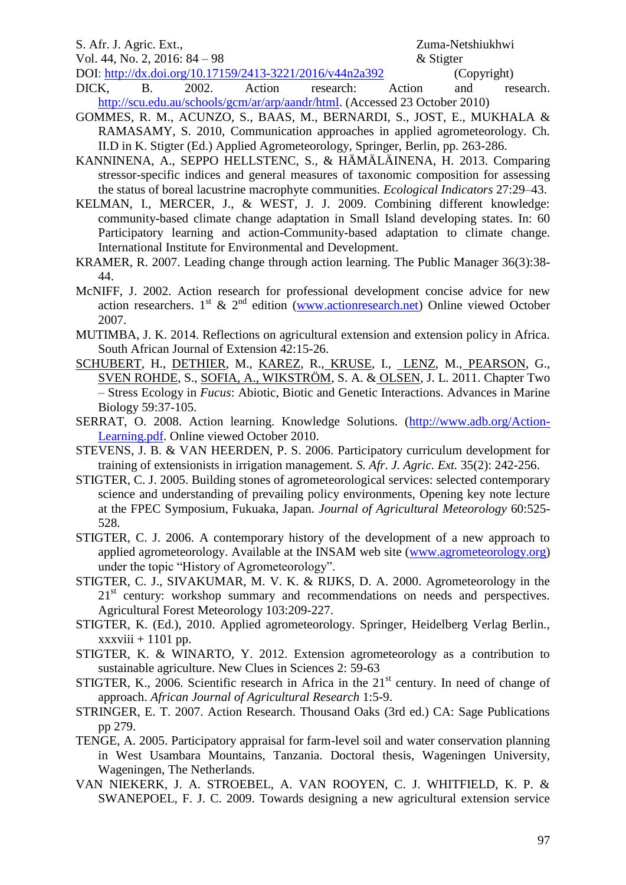## S. Afr. J. Agric. Ext., 2008. The S. Afr. J. Agric. Ext., 2008. The S. A. S. A. S. Agric. Ext., 2008. The S. A. S. Agric. Ext., 2008. The S. Agric. Ext., 2008. The S. Agric. Ext., 2008. The S. Agric. Ext., 2008. The S. Agr

Vol. 44, No. 2, 2016: 84 – 98  $\&$  Stigter

DOI: http://dx.doi.org/10.17159/2413-3221/2016/v44n2a392 (Copyright) DICK, B. 2002. [Action research: Action and research.](http://www.scu.edu.au/schools/gcm/ar/arp/aandr.html) [http://scu.edu.au/schools/gcm/ar/arp/aandr/html.](http://scu.edu.au/schools/gcm/ar/arp/aandr/html) (Accessed 23 October 2010)

- GOMMES, R. M., ACUNZO, S., BAAS, M., BERNARDI, S., JOST, E., MUKHALA & RAMASAMY, S. 2010, Communication approaches in applied agrometeorology. Ch. II.D in K. Stigter (Ed.) Applied Agrometeorology, Springer, Berlin, pp. 263-286.
- KANNINENA, A., SEPPO HELLSTENC, S., & HÄMÄLÄINENA, H. 2013. Comparing stressor-specific indices and general measures of taxonomic composition for assessing the status of boreal lacustrine macrophyte communities. *Ecological Indicators* 27:29–43.
- KELMAN, I., MERCER, J., & WEST, J. J. 2009. Combining different knowledge: community-based climate change adaptation in Small Island developing states. In: 60 Participatory learning and action-Community-based adaptation to climate change. International Institute for Environmental and Development.
- KRAMER, R. 2007. Leading change through action learning. The Public Manager 36(3):38- 44.
- McNIFF, J. 2002. Action research for professional development concise advice for new action researchers.  $1^{st}$  &  $2^{nd}$  edition [\(www.actionresearch.net\)](http://www.actionresearch.net/) Online viewed October 2007.
- MUTIMBA, J. K. 2014. Reflections on agricultural extension and extension policy in Africa. South African Journal of Extension 42:15-26.
- [SCHUBERT,](http://www.sciencedirect.com/science/article/pii/B9780123855367000029) H., [DETHIER,](http://www.sciencedirect.com/science/article/pii/B9780123855367000029) M., [KAREZ,](http://www.sciencedirect.com/science/article/pii/B9780123855367000029) R., [KRUSE,](http://www.sciencedirect.com/science/article/pii/B9780123855367000029) I., [LENZ,](http://www.sciencedirect.com/science/article/pii/B9780123855367000029) M., [PEARSON,](http://www.sciencedirect.com/science/article/pii/B9780123855367000029) G., [SVEN ROHDE,](http://www.sciencedirect.com/science/article/pii/B9780123855367000029) S., [SOFIA, A., WIKSTRÖM,](http://www.sciencedirect.com/science/article/pii/B9780123855367000029) S. A. & [OLSEN,](http://www.sciencedirect.com/science/article/pii/B9780123855367000029) J. L. 2011. Chapter Two – Stress Ecology in *Fucus*: Abiotic, Biotic and Genetic Interactions. Advances in Marine Biology 59:37-105.
- SERRAT, O. 2008. Action learning. Knowledge Solutions. [\(http://www.adb.org/Action-](http://www.adb.org/Action-Learning.pdf)[Learning.pdf.](http://www.adb.org/Action-Learning.pdf) Online viewed October 2010.
- STEVENS, J. B. & VAN HEERDEN, P. S. 2006. Participatory curriculum development for training of extensionists in irrigation management. *S. Afr. J. Agric. Ext.* 35(2): 242-256.
- STIGTER, C. J. 2005. Building stones of agrometeorological services: selected contemporary science and understanding of prevailing policy environments, Opening key note lecture at the FPEC Symposium, Fukuaka, Japan. *Journal of Agricultural Meteorology* 60:525- 528.
- STIGTER, C. J. 2006. A contemporary history of the development of a new approach to applied agrometeorology. Available at the INSAM web site [\(www.agrometeorology.org\)](http://www.agrometeorology.org/) under the topic "History of Agrometeorology".
- STIGTER, C. J., SIVAKUMAR, M. V. K. & RIJKS, D. A. 2000. Agrometeorology in the 21<sup>st</sup> century: workshop summary and recommendations on needs and perspectives. Agricultural Forest Meteorology 103:209-227.
- STIGTER, K. (Ed.), 2010. Applied agrometeorology. Springer, Heidelberg Verlag Berlin.,  $xxxviii + 1101$  pp.
- STIGTER, K. & WINARTO, Y. 2012. Extension agrometeorology as a contribution to sustainable agriculture. New Clues in Sciences 2: 59-63
- STIGTER, K., 2006. Scientific research in Africa in the  $21<sup>st</sup>$  century. In need of change of approach. *African Journal of Agricultural Research* 1:5-9.
- STRINGER, E. T. 2007. Action Research. Thousand Oaks (3rd ed.) CA: Sage Publications pp 279.
- TENGE, A. 2005. Participatory appraisal for farm-level soil and water conservation planning in West Usambara Mountains, Tanzania. Doctoral thesis, Wageningen University, Wageningen, The Netherlands.
- VAN NIEKERK, J. A. STROEBEL, A. VAN ROOYEN, C. J. WHITFIELD, K. P. & SWANEPOEL, F. J. C. 2009. Towards designing a new agricultural extension service